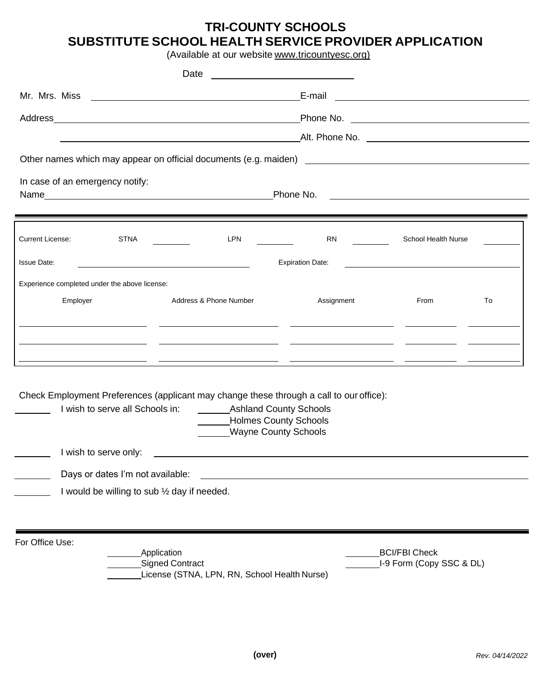# **TRI-COUNTY SCHOOLS SUBSTITUTE SCHOOL HEALTH SERVICE PROVIDER APPLICATION**

(Available at our website www.tricountyesc.org)

| Date                                                                                                                                                                   |                                                                                     |            |                                                                                                                       |    |
|------------------------------------------------------------------------------------------------------------------------------------------------------------------------|-------------------------------------------------------------------------------------|------------|-----------------------------------------------------------------------------------------------------------------------|----|
| Mr. Mrs. Miss<br><u> 1989 - Johann Harry Harry Harry Harry Harry Harry Harry Harry Harry Harry Harry Harry Harry Harry Harry Harry</u>                                 |                                                                                     | E-mail     | <u> 1989 - Johann Stoff, deutscher Stoff, der Stoff, der Stoff, der Stoff, der Stoff, der Stoff, der Stoff, der </u>  |    |
| Address Address Address Address Address Address Address Address Address Address Address Address Address Address A                                                      |                                                                                     |            |                                                                                                                       |    |
| <u> 1989 - Johann Barn, amerikan besteman besteman besteman besteman besteman besteman besteman besteman bestema</u>                                                   |                                                                                     |            |                                                                                                                       |    |
|                                                                                                                                                                        |                                                                                     |            |                                                                                                                       |    |
| In case of an emergency notify:                                                                                                                                        |                                                                                     |            |                                                                                                                       |    |
|                                                                                                                                                                        | Phone No.                                                                           |            | <u> 1989 - Johann Stein, mars an de Frans and de Frans and de Frans and de Frans and de Frans and de Frans and de</u> |    |
| <u> 1989 - Andrea Santa Andrea Andrea Andrea Andrea Andrea Andrea Andrea Andrea Andrea Andrea Andrea Andrea Andr</u>                                                   |                                                                                     |            |                                                                                                                       |    |
| <b>Current License:</b><br>STNA                                                                                                                                        | LPN                                                                                 | <b>RN</b>  | School Health Nurse                                                                                                   |    |
| <b>Issue Date:</b><br><b>Expiration Date:</b><br><u> 1980 - Johann Barn, mars ann an t-Amhainn an t-Amhainn an t-Amhainn an t-Amhainn an t-Amhainn an t-Amhainn an</u> |                                                                                     |            |                                                                                                                       |    |
| Experience completed under the above license:                                                                                                                          |                                                                                     |            |                                                                                                                       |    |
| Employer<br>Address & Phone Number                                                                                                                                     |                                                                                     | Assignment | <b>From</b>                                                                                                           | To |
|                                                                                                                                                                        |                                                                                     |            |                                                                                                                       |    |
|                                                                                                                                                                        |                                                                                     |            |                                                                                                                       |    |
|                                                                                                                                                                        |                                                                                     |            |                                                                                                                       |    |
| Check Employment Preferences (applicant may change these through a call to our office):<br>I wish to serve all Schools in:                                             | ____________Ashland County Schools<br>Holmes County Schools<br>Wayne County Schools |            |                                                                                                                       |    |
| I wish to serve only:                                                                                                                                                  |                                                                                     |            |                                                                                                                       |    |
| Days or dates I'm not available:                                                                                                                                       |                                                                                     |            |                                                                                                                       |    |
| I would be willing to sub 1/2 day if needed.                                                                                                                           |                                                                                     |            |                                                                                                                       |    |
|                                                                                                                                                                        |                                                                                     |            |                                                                                                                       |    |
| For Office Use:<br><b>Application</b><br><b>Signed Contract</b>                                                                                                        | License (STNA, LPN, RN, School Health Nurse)                                        |            | <b>BCI/FBI Check</b><br>I-9 Form (Copy SSC & DL)                                                                      |    |